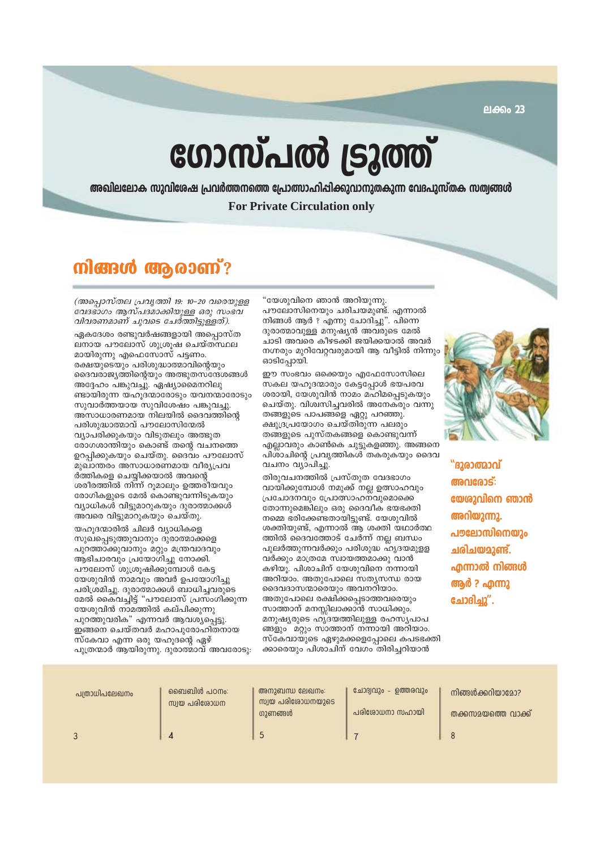ലക്കം 23

# ഗോസ്പൽ ട്രൂത്ത്

അഖിലലോക സുവിശേഷ പ്രവർത്തനത്തെ പ്രോത്സാഹിപ്പിക്കുവാനുതകുന്ന വേദപുസ്തക സത്വങ്ങൾ **For Private Circulation only** 

# mlærd @goom"?

(അപ്പൊസ്തല പ്രവൃത്തി 19: 10-20 വരെയുളള വേദഭാഗം ആസ്പദമാക്കിയുള്ള ഒരു സംഭവ വിവരണമാണ് ചുവടെ ചേർത്തിട്ടുള്ളത്).

ഏകദേശം രണ്ടുവർഷങ്ങളായി അപ്പൊസ്ത ലനായ പൗലോസ് ശുശ്രൂഷ ചെയ്തസ്ഥല മായിരുന്നു എഫെസോസ് പട്ടണം. രക്ഷയുടെയും പരിശുദ്ധാത്മാവിന്റെയും ദൈവരാജ്യത്തിന്റെയും അത്ഭുതസ്ന്ദേശങ്ങൾ അദ്ദേഹം പങ്കുവച്ചു. ഏഷ്യാമൈനറിലു ണ്ടായിരുന്ന യഹൂദന്മാരോടും യവനന്മാരോടും സ്രവാർത്തയായ സ്വവിശേഷം പങ്കുവച്ചു. അസാധാരണമായ നിലയിൽ ദൈവത്തിന്റെ പരിശുദ്ധാത്മാവ് പൗലോസിന്മേൽ വ്യാപരിക്കുകയും വിടുതലും അത്ഭുത രോഗശാന്തിയും കൊണ്ട് തന്റെ വചനത്തെ ഉറപ്പിക്കുകയും ചെയ്തു. ദൈവം പൗലോസ് മുഖാന്തരം അസാധാരണമായ വീര്യപ്രവ ർത്തികളെ ചെയ്യിക്കയാൽ അവന്റെ ശരീരത്തിൽ നിന്ന് റുമാലും ഉത്തരിയവും രോഗികളുടെ മേൽ കൊണ്ടുവന്നിടുകയും വ്യാധികൾ വിട്ടുമാറുകയും ദുരാത്മാക്കൾ അവരെ വിട്ടുമാറുകയും ചെയ്തു.

യഹുദന്മാരിൽ ചിലർ വ്യാധികളെ സുഖപ്പെടുത്തുവാനും ദുരാത്മാക്കളെ പുറത്താക്കുവാനും മറ്റും മന്ത്രവാദവും ആഭിചാരവും പ്രയോഗിച്ചു നോക്കി. പൗലോസ് ശുശ്രൂഷിക്കുമ്പോൾ കേട്ട യേശുവിൻ നാമവും അവർ ഉപയോഗിച്ചു പരിശ്രമിച്ചു. ദുരാത്മാക്കൾ ബാധിച്ചവരുടെ മേൽ കൈവച്ചിട്ട് "പൗലോസ് പ്രസംഗിക്കുന്ന യേശുവിൻ നാമത്തിൽ കല്പിക്കുന്നു പുറത്തുവരിക" എന്നവർ ആവശ്യപ്പെട്ടു. ഇങ്ങനെ ചെയ്തവർ മഹാപുരോഹിതനായ സ്കേവാ എന്ന ഒരു യഹുദന്റെ ഏഴ് പുത്രന്മാർ ആയിരുന്നു. ദുരാത്മാവ് അവരോടു: "യേശുവിനെ ഞാൻ അറിയുന്നു. പൗലോസിനെയും ചരിചയമുണ്ട്. എന്നാൽ നിങ്ങൾ ആർ ? എന്നു ചോദിച്ചു". പിന്നെ ദുരാത്മാവുള്ള മനുഷ്യൻ അവരുടെ മേൽ ചാടി അവരെ കീഴടക്കി ജയിക്കയാൽ അവർ നഗ്നരും മുറിവേറ്റവരുമായി ആ വീട്ടിൽ നിന്നും ഓടിപ്പോയി.

ഈ സംഭവം ഒക്കെയും എഫേസോസിലെ സകല യഹുദന്മാരും കേട്ടപ്പോൾ ഭയപരവ ശരായി. യേശുവിൻ നാമം മഹിമപ്പെടുകയും ചെയ്തു. വിശ്വസിച്ചവരിൽ അനേകരും വന്നു തങ്ങളുടെ പാപങ്ങളെ ഏറ്റു പറഞ്ഞു. ക്ഷുദ്രപ്രയോഗം ചെയ്തിരുന്ന പലരും തങ്ങളുടെ പുസ്തകങ്ങളെ കൊണ്ടുവന്ന് എല്ലാവരും കാൺകെ ചുട്ടുകളഞ്ഞു. അങ്ങനെ പിശാചിന്റെ പ്രവൃത്തികൾ തകരുകയും ദൈവ വചനം വ്യാപിച്ചു.

തിരുവചനത്തിൽ പ്രസ്തുത വേദഭാഗം വായിക്കുമ്പോൾ നമുക്ക് നല്ല ഉത്സാഹവും പ്രചോദനവും പ്രോത്സാഹന്വുമൊക്കെ തോന്നുമെങ്കിലും ഒരു ദൈവീക ഭയഭക്തി നമ്മെ ഭരിക്കേണ്ടതായിട്ടുണ്ട്. യേശുവിൽ ശക്തിയുണ്ട്, എന്നാൽ ആ ശക്തി യഥാർത്ഥ ത്തിൽ ദൈവത്തോട് ചേർന്ന് നല്ല ബന്ധം പുലർത്തുന്നവർക്കും പരിശുദ്ധ ഹൃദയമുളള വർക്കും മാത്രമേ സ്വായത്തമാക്കു വാൻ കഴിയൂ. പിശാചിന് യേശുവിനെ നന്നായി അറിയാം. അതുപോലെ സത്യസന്ധ രായ ദൈവദാസന്മാരെയും അവനറിയാം. അതുപോലെ രക്ഷിക്കപ്പെടാത്തവരെയും സാത്താന് മനസ്സിലാക്കാൻ സാധിക്കും. മനുഷ്യരുടെ ഹൃദയത്തിലുള്ള രഹസ്യപാപ ങ്ങളും മറ്റും സാത്താന് നന്നായി അറിയാം. സ്കേവായുടെ ഏഴുമക്കളെപ്പോലെ കപടഭക്തി ക്കാരെയും പിശാചിന് വേഗം തിരിച്ചറിയാൻ



"ദുരാത്മാവ് അവരോട്: യേശുവിനെ ഞാൻ അറിയുന്നു. പൗലോസിനെയും ചരിചയമാണ്ട്. എന്നാൽ നിങ്ങൾ ആർ ? എന്നു ന്നേദ്വം ".

| പത്രാധിപലേഖനം | ബൈബിൾ പഠനം:<br>സ്വയ പരിശോധന | അനുബന്ധ ലേഖനം:<br>സ്വയ പരിശോധനയുടെ<br>ഗുണങ്ങൾ | ചോദ്വവും - ഉത്തരവും<br>പരിരോധനാ സഹായി | നിങ്ങൾക്കറിയാമോ?<br>തക്കസമയത്തെ വാക്ക് |
|---------------|-----------------------------|-----------------------------------------------|---------------------------------------|----------------------------------------|
|               |                             |                                               |                                       |                                        |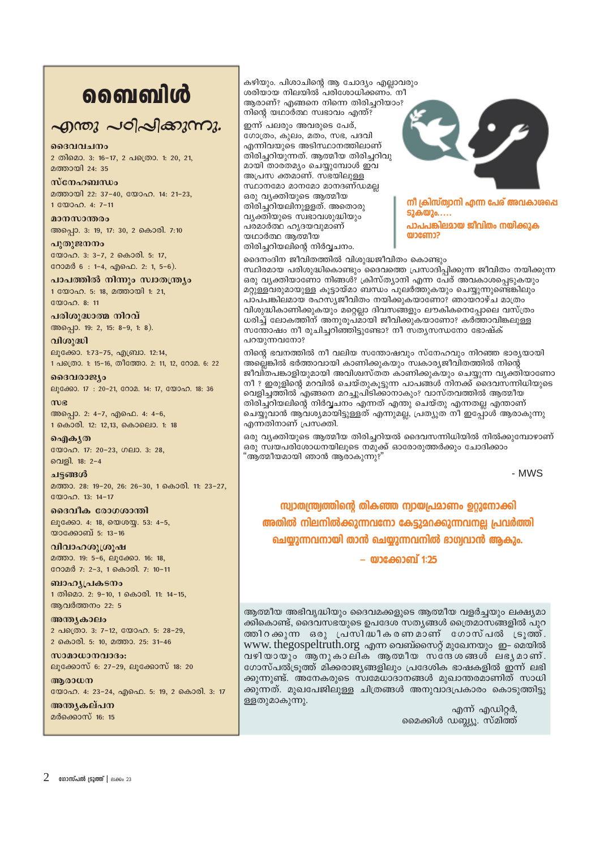# **வைவி**ൾ

## എന്തു പഠിപ്പിക്കുന്നു.

ദൈവവചനം

2 തിമൊ. 3: 16-17, 2 പത്രൊ. 1: 20, 21, മത്തായി 24: 35

### $m$ c $n_2$

മത്തായി 22: 37-40, യോഹ. 14: 21-23, 1 0000 ap. 4: 7-11

മാനസാന്തരം അപ്പൊ. 3: 19, 17: 30, 2 കൊരി. 7:10

പ്പതുജനനം യോഹ. 3: 3-7, 2 കൊരി. 5: 17, റോമർ 6 : 1-4, എഫെ. 2: 1, 5-6).

പാപത്തിൽ നിന്നും സ്വാതന്ത്ര്യം 1 യോഹ. 5: 18, മത്തായി 1: 21,

യോഹ. 8: 11 പരിശുദ്ധാത്മ നിറവ്

അപ്പൊ. 19: 2, 15: 8-9, 1: 8). വിശുദ്ധി

ലൂക്കോ. 1:73-75, എബ്രാ. 12:14, 1 പക്രൊ. 1: 15-16, തീത്തോ. 2: 11, 12, റോമ. 6: 22

ദൈവരാജ്യം ലൂക്കോ. 17: 20-21, റോമ. 14: 17, യോഹ. 18: 36

 $m<sub>g</sub>$ അപ്പൊ. 2: 4-7, എഫെ. 4: 4-6, 1 കൊരി. 12: 12,13, കൊലൊ. 1: 18

வெல் தி യോഹ. 17: 20-23, ഗലാ. 3: 28, വെളി. 18: 2-4

ചട്ടങ്ങൾ മത്താ. 28: 19-20, 26: 26-30, 1 കൊരി. 11: 23-27,  $\binom{200000}{13}$  13: 14-17

ദൈവീക രോഗശാന്തി ലൂക്കോ. 4: 18, യെശയ്യ. 53: 4-5, യാക്കോബ് 5: 13-16

വിവാഹശൂശ്രൂഷ മത്താ. 19: 5-6, ലൂക്കോ. 16: 18, റോമർ 7: 2-3, 1 കൊരി. 7: 10-11

ബാഹ്യപ്രകടനം 1 തിമൊ. 2: 9-10, 1 കൊരി. 11: 14-15, ആവർത്തനം 22: 5

അന്ത്യകാലം 2 പക്രൊ. 3: 7-12, യോഹ. 5: 28-29, 2 കൊരി. 5: 10, മത്താ. 25: 31-46

 $w$ ാമാധാനവാദം: ലൂക്കോസ് 6: 27-29, ലൂക്കോസ് 18: 20

ആരാധന യോഹ. 4: 23-24, എഫെ. 5: 19, 2 കൊരി. 3: 17

അനുകല്പന മർക്കൊസ് 16: 15 കഴിയും. പിശാചിന്റെ ആ ചോദ്യം എല്ലാവരും ശരിയായ നിലയിൽ പരിശോധിക്കണം. നീ ആരാണ്? എങ്ങനെ നിന്നെ തിരിച്ചറിയാം? നിന്റെ യഥാർത്ഥ സ്വഭാവം എന്ത്?

ഇന്ന് പലരും അവരുടെ പേര്, ഗോത്രം, കുലം, മതം, സഭ, പദവി .<br>എന്നിവയുടെ അടിസ്ഥാനത്തിലാണ് തിരിച്ചറിയുന്നത്. ആത്മീയ തിരിച്ചറിവു മായി താരതമ്യം ചെയ്യുമ്പോൾ ഇവ അപ്രസ ക്തമാണ്. സഭയിലുള്ള സ്ഥാനമോ മാനമോ മാനദണ്ഡമല്ല ഒരു വ്യക്തിയുടെ ആത്മീയ തിരിച്ചറിയലിനുള്ളത്. അതൊരു വ്യക്തിയുടെ സ്വഭാവശുദ്ധിയും പരമാർത്ഥ ഹൃദയവുമാണ് യഥാർത്ഥ ആത്മീയ തിരിച്ചറിയലിന്റെ നിർവ്വചനം.



നീ ക്രിസ്ത്വാനി എന്ന പേര് അവകാശപ്പെ **52കയും....** 

പാപപങ്കിലമായ ജീവിതം നയിക്കുക യാണോ?

ദൈനംദിന ജീവിതത്തിൽ വിശുദ്ധജീവിതം കൊണ്ടും സ്ഥിരമായ പരിശുദ്ധികൊണ്ടും ദൈവത്തെ പ്രസാദിപ്പിക്കുന്ന ജീവിതം നയിക്കുന്ന ഒരു വൃക്തിയാണോ നിങ്ങൾ? ക്രിസ്ത്യാനി എന്ന പേര് അവകാശപ്പെടുകയും മറ്റുള്ളവരുമായുള്ള കൂട്ടായ്മാ ബന്ധം പുലർത്തുകയും ചെയ്യുന്നുണ്ടെങ്കിലും പാപപങ്കിലമായ രഹസ്യജീവിതം നയിക്കുകയാണോ? ഞായറാഴ്ച മാത്രം വിശുദ്ധികാണിക്കുകയും മറ്റെല്ലാ ദിവസങ്ങളും ലൗകികനെപ്പോലെ വസ്ത്രം ധരിച് ലോകത്തിന് അനുരുപമായി ജീവിക്കുകയാണോ? കർത്താവിങ്കലുള്ള സത്തോഷം നീ രുചിച്ചറിഞ്ഞിട്ടുണ്ടോ? നീ സതൃസന്ധനോ ഭോഷ്ക് പറയുന്നവനോ?

നിന്റെ ഭവനത്തിൽ നീ വലിയ സന്തോഷവും സ്നേഹവും നിറഞ്ഞ ഭാര്യയായി അല്ലെങ്കിൽ ഭർത്താവായി കാണിക്കുകയും സ്വകാര്യജീവിതത്തിൽ നിന്റെ ജീവി്തപങ്കാളിയുമായി അവിശ്വസ്തത കാണിക്കുകയും ചെയ്യുന്ന വൃക്തിയാണോ നീ ? ഇരുളിന്റെ മറവിൽ ചെയ്തുകൂട്ടുന്ന പാപങ്ങൾ നിനക്ക് ദൈവസന്നിധിയുടെ വെളിച്ചത്തിൽ 'എങ്ങനെ മറച്ചുപിടിക്കാനാകും? വാസ്തവത്തിൽ ആത്മീയ തിരിച്ചറിയലിന്റെ നിർവചനം എന്നത് എന്തു ചെയ്തു എന്നതല്ല എന്താണ് ചെയ്യുവാൻ ആവശ്യമായിട്ടുള്ളത് എന്നുമല്ല, പ്രത്യുത് നീ ഇപ്പോൾ ആരാകുന്നു എന്നതിനാണ് പ്രസക്തി.

ഒരു വ്യക്തിയുടെ ആത്മീയ തിരിച്ചറിയൽ ദൈവസന്നിധിയിൽ നിൽക്കുമ്പോഴാണ് ഒരു സ്ഥയപരിശോധനയിലൂടെ നമുക്ക് ഓരോരുത്തർക്കും ചോദിക്കാം "ആത്മീയമായി ഞാൻ ആരാകുന്നു?'

- MWS

സ്രാതന്ത്രത്തിന്റെ തികഞ്ഞ ന്വായപ്രമാണം ഉറുനോക്കി അതിൽ നിലനിൽക്കുന്നവനോ കേട്ടുമറക്കുന്നവനല്ല പ്രവർത്തി ചെയ്യുന്നവനായി താൻ ചെയ്യുന്നവനിൽ ഭാഗ്വവാൻ ആകും.

– യാക്കോബ് 1:25

ആത്മീയ അഭിവൃദ്ധിയും ദൈവമക്കളുടെ ആത്മീയ വളർച്ചയും ലക്ഷ്യമാ ക്കികൊണ്ട്, ദൈവസഭയുടെ ഉപദേശ സതൃങ്ങൾ ത്രൈമാസങ്ങളിൽ പുറ തതിറക്കുന്ന ഒരു പ്രസിദ്ധീകരണമാണ് ഗോസ്പൽ ട്രൂതത്. www.thegospeltruth.org എന്ന വെബ്സൈറ്റ് മുഖേനയും ഇ- മെയിൽ വഴിയായും ആനുകാലിക ആത്മീയ സദേശങ്ങൾ ലഭൃമാണ്. ഗോസ്പൽട്രുത്ത് മിക്കരാജ്യങ്ങളിലും പ്രദേശിക ഭാഷകളിൽ ഇന്ന് ലഭി ക്കുന്നുണ്ട്. അനേകരുടെ സ്വമേധാദാനങ്ങൾ മുഖാന്തരമാണിത് സാധി ക്കുന്നത്. മുഖപേജിലുള്ള ചിത്രങ്ങൾ അനുവാദപ്രകാരം കൊടുത്തിട്ടു ള്ളതുമാകുന്നു.

എന്ന് എഡിറ്റർ, മൈക്കിൾ ഡബ്ല്യൂ. സ്മിത്ത്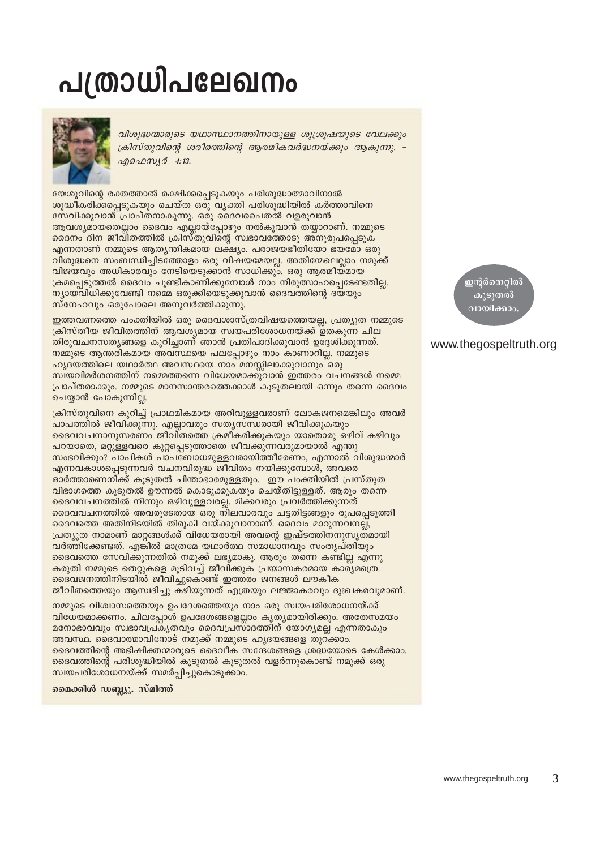# **പത്രാധിപലേഖനം**



വിശുദ്ധന്മാരുടെ യഥാസ്ഥാനത്തിനായുള്ള ശുശ്രൂഷയുടെ വേലക്കും ക്രിസ്തുവിന്റെ ശരീരത്തിന്റെ ആത്മീകവർദ്ധനയ്ക്കും ആകുന്നു. – എഫെസ്യർ 4:13.

യേശുവിന്റെ രക്തത്താൽ രക്ഷിക്കപ്പെടുകയും പരിശുദ്ധാത്മാവിനാൽ ശുദ്ധീകരിക്കപ്പെടുകയും ചെയ്ത ഒരു വ്യക്തി പരിശുദ്ധിയിൽ കർത്താവിനെ സേവിക്കുവാൻ പ്രാപ്തനാകുന്നു. ഒരു ദൈവപൈതൽ വളരുവാൻ ആവശ്യമായതെല്ലാം ദൈവം എല്ലായ്പ്പോഴും നൽകുവാൻ തയ്യാറാണ്. നമ്മുടെ ദൈനം ദിന ജീവിതത്തിൽ ക്രിസ്തുവിന്റെ സ്വഭാവത്തോടു അനുരൂപപ്പെടുക എന്നതാണ് നമ്മുടെ ആതൃന്തികമായ ലക്ഷ്യം. പരാജയഭീതിയോ ഭയമോ ഒരു വിശുദ്ധനെ സംബന്ധിച്ചിടത്തോളം ഒരു വിഷയമേയല്ല. അതിന്മേലെല്ലാം നമുക്ക് വിജയവും അധികാരവും നേടിയെടുക്കാൻ സാധിക്കും. ഒരു ആത്മീയമായ ക്രമപ്പെടുത്തൽ ദൈവം ചൂണ്ടികാണിക്കുമ്പോൾ നാം നിരുത്സാഹപ്പെടേണ്ടതില്ല. ന്യായവിധിക്കുവേണ്ടി നമ്മെ ഒരുക്കിയെടുക്കുവാൻ ദൈവത്തിന്റെ ദയയും സ്നേഹവും ഒരുപോലെ അനുവർത്തിക്കുന്നു.

ഇത്തവണത്തെ പംക്തിയിൽ ഒരു ദൈവശാസ്ത്രവിഷയത്തെയല്ല, പ്രത്യുത നമ്മുടെ ക്രിസ്തീയ ജീവിതത്തിന് ആവശ്യമായ സ്വയപരിശോധനയ്ക്ക് ഉതകുന്ന ചില തിരുവചനസത്യങ്ങളെ കുറിച്ചാണ് ഞാൻ പ്രതിപാദിക്കുവാൻ ഉദ്ദേശിക്കുന്നത്. നമ്മുടെ ആന്തരികമായ അവസ്ഥയെ പലപ്പോഴും നാം കാണാറില്ല. നമ്മുടെ ഹൃദയത്തിലെ യഥാർത്ഥ അവസ്ഥയെ നാം മനസ്സിലാക്കുവാനും ഒരു സ്വയവിമർശനത്തിന് നമ്മെത്തന്നെ വിധേയമാക്കുവാൻ ഇത്തരം വചനങ്ങൾ നമ്മെ പ്രാപ്തരാക്കും. നമ്മുടെ മാനസാന്തരത്തെക്കാൾ കുടുതലായി ഒന്നും തന്നെ ദൈവം ചെയ്യാൻ പോകുന്നില്ല.

ക്രിസ്തുവിനെ കുറിച്ച് പ്രാഥമികമായ അറിവുള്ളവരാണ് ലോകജനമെങ്കിലും അവർ പാപത്തിൽ ജീവിക്കുന്നു. എല്ലാവരും സതൃസന്ധരായി ജീവിക്കുകയും ദൈവവചനാനുസരണം ജീവി്തത്തെ ക്രമീകരിക്കുകയും യാതൊരു ഒഴിവ് കഴിവും പറയാതെ, മറ്റുള്ളവരെ കുറ്റപ്പെടുത്താതെ ജീവക്കുന്നവരുമായാൽ എന്തു സംഭവിക്കും? പാപികൾ പാപബോധമുള്ളവരായിത്തീരേണം, എന്നാൽ വിശുദ്ധന്മാർ എന്നവകാശപ്പെടുന്നവർ വചനവിരുദ്ധ ജീവിതം നയിക്കുമ്പോൾ, അവരെ ഓർത്താണെനിക്ക് കൂടുതൽ ചിന്താഭാരമുള്ളതും. ഈ പംക്തിയിൽ പ്രസ്തുത വിഭാഗത്തെ കൂടുതൽ ഊന്നൽ കൊടുക്കുകയും ചെയ്തിട്ടുള്ളത്. ആരും തന്നെ ദൈവവചനത്തിൽ നിന്നും ഒഴിവുള്ളവരല്ല. മിക്കവരും പ്രവർത്തിക്കുന്നത് ദൈവവചനത്തിൽ അവരുടേതായ ഒരു നിലവാരവും ചട്ടതിട്ടങ്ങളും രൂപപ്പെടുത്തി ദൈവത്തെ അതിനിടയിൽ തിരുകി വയ്ക്കുവാനാണ്. ദൈവം മാറുന്നവനല്ല്, പ്രത്യുത നാമാണ് മാറ്റങ്ങൾക്ക് വിധേയരായി അവന്റെ ഇഷ്ടത്തിനനുസൃതമായി വർത്തിക്കേണ്ടത്. എങ്കിൽ മാത്രമേ യഥാർത്ഥ സമാധാനവും സംതൃപ്തിയും ദൈവത്തെ സേവിക്കുന്നതിൽ നമുക്ക് ലഭ്യമാകു. ആരും തന്നെ കണ്ടില്ല എന്നു കരുതി നമ്മുടെ തെറ്റുകളെ മൂടിവച്ച് ജീവിക്കുക പ്രയാസകരമായ കാര്യമത്രെ. ദൈവജനത്തിനിടയിൽ ജീവിച്ചുകൊണ്ട് ഇത്തരം ജനങ്ങൾ ലൗകീക ജീവിതത്തെയും ആസ്വദിച്ചു കഴിയുന്നത് എത്രയും ലജ്ജാകരവും ദുഃഖകരവുമാണ്.

നമ്മുടെ വിശ്വാസത്തെയും ഉപദേശത്തെയും നാം ഒരു സ്വയപരിശോധനയ്ക്ക് വിധേയമാക്കണം. ചിലപ്പോൾ ഉപദേശങ്ങളെല്ലാം കൃത്യമായിരിക്കും. അതേസമയം മനോഭാവവും സ്വഭാവപ്രകൃതവും ദൈവപ്രസാദത്തിന് യോഗൃമല്ല എന്നതാകും അവസ്ഥ. ദൈവാത്മാവിനോട് നമുക്ക് നമ്മുടെ ഹൃദയങ്ങളെ തുറക്കാം. ദൈവത്തിന്റെ അഭിഷിക്തന്മാരുടെ ദൈവീക സന്ദേശങ്ങളെ ശ്രദ്ധയോടെ കേൾക്കാം. ദൈവത്തിന്റെ പരിശുദ്ധിയിൽ കൂടുതൽ കൂടുതൽ വളർന്നുകൊണ്ട് നമുക്ക് ഒരു സ്വയപരിശോധനയ്ക്ക് സമർപ്പിച്ചുകൊടുക്കാം.

മൈക്കിൾ ഡബ്ല്യു. സ്മിത്ത്

ഇന്റർനെറ്റിൽ കൂടുതൽ വായിക്കാം

## www.thegospeltruth.org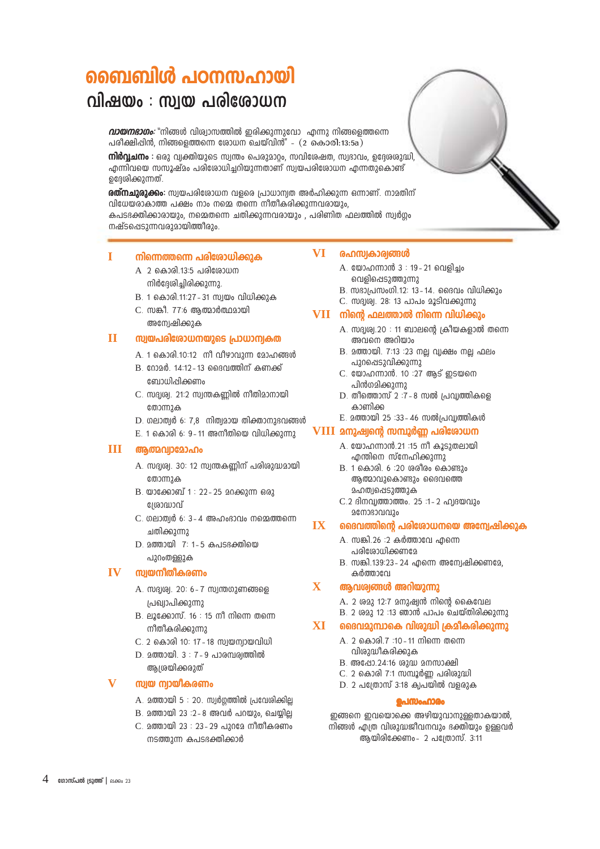# ബൈബിൾ പഠനസഹായി

# വിഷയം : സ്വയ പരിശോധന

*വായനഭാഗം:* "നിങ്ങൾ വിശ്വാസത്തിൽ ഇരിക്കുന്നുവോ എന്നു നിങ്ങളെത്തന്നെ പരീക്ഷിപ്പിൻ, നിങ്ങളെത്തന്നെ രോധന ചെയ്വിൻ" -  $(2 \text{ so} \text{ so} \cdot \text{ so} \cdot \text{ so} \cdot \text{ so} \cdot \text{ so}$ 

നിർവ്വചനം : ഒരു വ്വക്തിയുടെ സ്വന്തം പെരുമാറും, സവിശേഷത, സ്വഭാവം, ഉദ്ദേശരുദ്ധി, എന്നിവയെ സസൂഷ്മം പരിശോധിച്ചറിയുന്നതാണ് സ്വയപരിശോധന എന്നതുകൊണ്ട് ഉദ്ദേശിക്കുന്നത്.

രത്**നചുരുക്കം:** സ്വയപരിശോധന വളരെ പ്രാധാന്വത അർഹിക്കുന്ന ഒന്നാണ്. നാമതിന് വിധേയരാകാത്ത പക്ഷം നാം നമ്മെ തന്നെ നീതീകരിക്കുന്നവരായും. കപടഭക്തിക്കാരായും, നമ്മെതന്നെ ചതിക്കുന്നവരായും , പരിണിത ഫലത്തിൽ സ്വർഗ്ഗം നഷ്ടപ്പെടുന്നവരുമായിത്തീരും.

### I നിന്നെത്തന്നെ പരിശോധിക്കുക

- A 2 കൊരി.13:5 പരിരോധന നിർദേശിച്ചിരിക്കുന്നു.
- B. 1 കൊരി.11:27 31 സ്വയം വിധിക്കുക
- C. സങ്കീ. 77:6 ആത്മാർത്ഥമായി അന്വേഷിക്കുക

### $\mathbf H$ സ്വയപരിശോധനയുടെ പ്രാധാന്വകത

- A. 1 കൊരി.10:12 mീ വീഴാവുന്ന മോഹങ്ങൾ
- B. റോമർ. 14:12-13 ദൈവത്തിന് കണക്ക് ബോധിപ്പിക്കണം
- C. സദൃശ്വ. 21:2 സ്വന്തകണ്ണിൽ നീതിമാനായി തോന്നുക
- $D.$  ഗലാത്വർ 6: 7,8 mിത്വമായ തിക്താനുഭവങ്ങൾ
- $E. 1$  കൊരി 6: 9-11 അനീതിയെ വിധിക്കുന്നു

### ш **ആത്മവ്വാ**മോഹം

- A. സദൃശ്വ. 30: 12 സ്വന്തകണ്ണിന് പരിശുദ്ധമായി തോന്നുക
- $B.$  യാക്കോബ് 1 : 22 25 മറക്കുന്ന ഒരു ഗ്രോദ്ധാവ്
- C. ഗലാത്വർ 6: 3-4 അഹംഭാവം നമ്മെത്തന്നെ ചതിക്കുന്നു
- D. 200000 7: 1-5 കപടഭക്തിയെ പുറംതള്ളുക

### **IV** സ്വയനീതീകരണം

- A. സദ്വശ്വ. 20: 6-7 സ്വന്തഗുണങ്ങളെ പ്രഖ്വാപിക്കുന്നു
- $B.$  ലൂക്കോസ്, 16 : 15 നീ നിന്നെ തന്നെ നീതീകരിക്കുന്നു
- C. 2 കൊരി 10: 17 18 സ്വയന്വായവിധി
- അത്രയിക്കരുത്

### സ്വയ ന്വായികരണം

- 
- $B.20000000123:2 8.0001000100020.92000101$
- C. മത്തായി 23 : 23-29 പുറമേ നീതീകരണം നടത്തുന്ന കപടഭക്തിക്കാർ

### **VI** രഹസ്വകാര്വങ്ങൾ

- A. യോഹന്നാൻ 3 : 19 21 വെളിച്ചം വെളിപ്പെടുത്തുന്നു
- $B.$  സദാപ്രസംഗി.12: 13 14. ദൈവം വിധിക്കും

## C. സദൃശ്വ. 28: 13 പാപം മൂടിവക്കുന്നു  $VII$  നിന്റെ ഫലത്താൽ നിന്നെ വിധിക്കും

- A. സദ്വശ്വ.20 : 11 ബാലന്റെ ക്രീയകളാൽ തന്നെ അവനെ അറിയാം
- B. മത്തായി. 7:13 :23 നല്ല വ്യക്ഷം നല്ല ഫലം പുറപ്പെടുവിക്കുന്നു
- C. യോഹന്നാൻ. 10 :27 ആട് ഇടയനെ പിൻഗമിക്കുന്നു
- $D.$  തീത്തൊസ് 2 :7 8 സൽ പ്രവ്വത്തികളെ കാണിക്ക
- E. മത്തായി 25 :33-46 സൽപ്രവ്യത്തികൾ

## VIII മനുഷ്വന്റെ സമ്പൂർണ്ണ പരിശോധന

- A. യോഹന്നാൻ.21 :15 നീ കൂടുതലായി എന്തിനെ സ്നേഹിക്കുന്നു
- B. 1 കൊരി. 6 :20 ശരീരം കൊണ്ടും ആത്മാവുകൊണ്ടും ദൈവത്തെ **2ഹത1**പ്പെടുത്തുക
- C.2 ദിനവ്യത്താത്തം. 25 :1-2 ഹ്യദയവും **26** 0363010120

#### $\overline{\mathbf{I}}$ ദൈവത്തിന്റെ പരിശോധനയെ അന്വേഷിക്കുക

- A. സങ്കി.26 :2 കർത്താവേ എന്നെ പരിശോധിക്കണമേ
- B. സങ്കി.139:23 24 എന്നെ അന്വേഷിക്കണമേ. കർത്താവേ

### $\mathbf{X}$ ആവശ്വങ്ങൾ അറിയുന്നു

- A. 2 ശമു 12:7 മനുഷ്വൻ നിന്റെ കൈവേല
- $B.$  2 ശമു 12 :13 ഞാൻ പാപം ചെയ്തിരിക്കുന്നു

#### **XT** ദൈവമുമ്പാകെ വിശുദ്ധി ക്രമീകരിക്കുന്നു

- A 2 കൊരി 7:10 11 നിന്നെ തന്നെ വിശുദ്ധീകരിക്കുക
- B. അഷോ.24:16 ശുദ്ധ മനസാക്ഷി
- C. 2 കൊരി 7:1 സമ്പൂർണ പരിരുദ്ധി
- $D.$  2 പത്രോസ് 3:18 ക്വപയിൽ വളരുക

### **ഉപസംഹാരം**

ഇങ്ങനെ ഇവയൊക്കെ അഴിയുവാനുള്ളതാകയാൽ, നിങ്ങൾ എത്ര വിശുദ്ധജീവനവും ഭക്തിയും ഉള്ളവർ ആയിരിക്കേണം- 2 പത്രോസ്. 3:11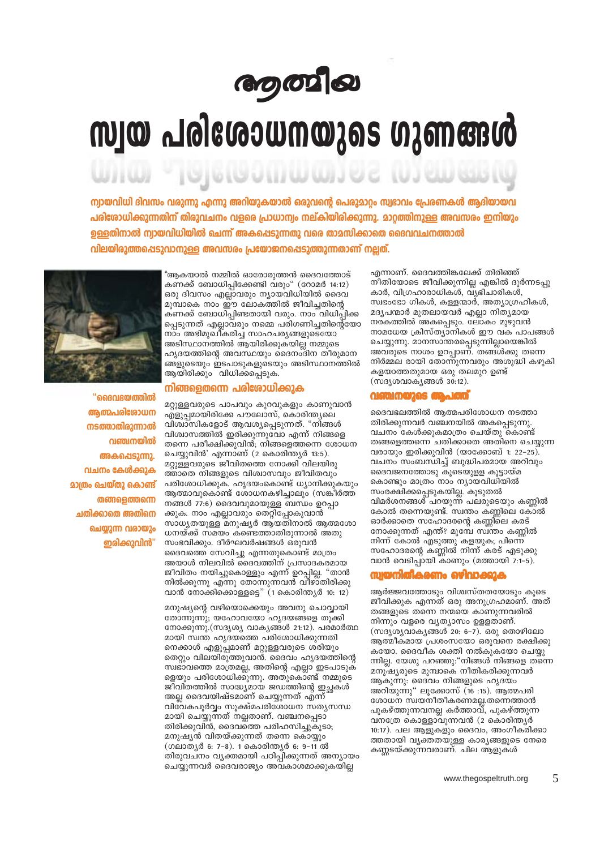# **நை** வ

# സ്വയ പരിശോധനയുടെ ഗുണങ്ങൾ

 $\begin{bmatrix} 0 & 0 & 0 & 1 \end{bmatrix} \begin{bmatrix} 1 & 0 & 0 \end{bmatrix} \begin{bmatrix} 0 & 1 \end{bmatrix}$ 

ന്വായവിധി ദിവസം വരുന്നു എന്നു അറിയുകയാൽ ഒരുവന്റെ പെരുമാറ്റം സ്വഭാവം പ്രേരണകൾ ആദിയായവ പരിശോധിക്കുന്നതിന് തിരുവചനം വളരെ പ്രാധാന്വം നല്കിയിരിക്കുന്നു. മാറ്റത്തിനുള്ള അവസരം ഇനിയും ഉള്ളതിനാൽ ന്വായവിധിയിൽ ചെന്ന് അകപ്പെടുന്നതു വരെ താമസിക്കാതെ ദൈവവചനത്താൽ വിലയിരുത്തപ്പെടുവാനുള്ള അവസരം പ്രയോജനപ്പെടുത്തുന്നതാണ് നല്ലത്.



"ഗൈശയത്തിൽ ആത്മപരിരോധന നടത്താതിരുന്നാൽ വഞ്ചനയിൽ അകപ്പെടുന്നു. വചനം കേൾക്കുക **മാത്രം ചെയ്തു കൊണ്ട് തങ്ങളെത്തന്നെ** ചതിക്കാതെ അതിനെ ചെയാന്ന വരായാം ഇരിക്കുവിൻ"

"ആകയാൽ നമ്മിൽ ഓരോരുത്തൻ ദൈവത്തോട് കണക്ക് ബോധിപ്പിക്കേണ്ടി വരും" (റോമർ 14:12) ഒരു ദിവസം എല്ലാവരും ന്യായവിധിയിൽ ദൈവ മുമ്പാകെ നാം ഈ ലോകത്തിൽ ജീവിച്ചതിന്റെ കണക്ക് ബോധിപ്പിണ്ടതായി വരും. നാം വിധിപ്പിക്ക പ്പെടുന്നത് എല്ലാവരും നമ്മെ പരിഗണിച്ചതിന്റെയോ നാം അഭിമുഖീകരിച്ച സാഹചര്യങ്ങളുടെയോ അടിസ്ഥാനത്തിൽ ആയിരിക്കുകയില്ല നമ്മുടെ ഹൃദയത്തിന്റെ അവസ്ഥയും ദൈനംദിന തീരുമാന ങ്ങളുടെയും ഇടപാടുകളുടെയും അടിസ്ഥാനത്തിൽ ആയിരിക്കും വിധിക്കപ്പെടുക.

### നിങ്ങളെതന്നെ പരിശോധിക്കുക

മറ്റുള്ളവരുടെ പാപവും കുറവുകളും കാണുവാൻ എളുപ്പമായിരിക്കേ പൗലോസ്, കൊരിന്ത്യലെ വിശ്വാസികളോട് ആവശ്യപ്പെടുന്നത്. "നിങ്ങൾ വിശ്വാസത്തിൽ ഇരിക്കുന്നുവോ എന്ന് നിങ്ങളെ തന്നെ പരീക്ഷിക്കുവിൻ, നിങ്ങളെത്തന്നെ ശോധന ചെയ്യുവിൻ' എന്നാണ് (2 കൊരിന്ത്യർ 13:5). മറ്റുള്ളവരുടെ ജീവിതത്തെ നോക്കി വിലയിരു ത്താതെ നിങ്ങളുടെ വിശ്വാസവും ജീവിതവും പരിശോധിക്കുക. ഹൃദയംകൊണ്ട് ധ്യാനിക്കുകയും ആത്മാവുകൊണ്ട് ശോധനകഴിച്ചാലും (സങ്കീർത്ത നങ്ങൾ 77:6) ദൈവവുമായുള്ള ബന്ധം ഉറപ്പാ ക്കുക. നാം എല്ലാവരും തെറ്റിപ്പോകുവാൻ സാധ്യതയുള്ള മനുഷ്യർ ആയതിനാൽ ആത്മശോ ധനയ്ക്ക് സമയം കണ്ടെത്താതിരുന്നാൽ അതു സംഭവിക്കും. ദീർഘവർഷങ്ങൾ ഒരുവൻ ദൈവത്തെ സേവിച്ചു എന്നതുകൊണ്ട് മാത്രം അയാൾ നിലവിൽ ദൈവത്തിന് പ്രസാദകരമായ ജീവിതം നയിച്ചുകൊള്ളും എന്ന് ഉറപ്പില്ല. "താൻ നിൽക്കുന്നു എന്നു തോന്നുന്നവൻ വിഴാതിരിക്കു വാൻ നോക്കിക്കൊള്ളട്ടെ" (1 കൊരിന്ത്യർ 10: 12)

മനുഷ്യന്റെ വഴിയൊക്കെയും അവനു ചൊവ്വായി തോന്നുന്നു; യഹോവയോ ഹൃദയങ്ങളെ തൂക്കി നോക്കുന്നു. (സദൃശ്യ വാകൃങ്ങൾ 21:12). പരമാർത്ഥ മായി സ്വന്ത ഹൃദയത്തെ പരിശോധിക്കുന്നതി നെക്കാൾ എളുപ്പമാണ് മറ്റുള്ളവരുടെ ശ്രിയും തെറ്റും വിലയിരുത്തുവാന്. ദൈവം ഹൃദയത്തിന്റെ സ്വഭാവത്തെ മാത്രമല്ല, അതിന്റെ എല്ലാ ഇടപാടുക ളെയും പരിശോധിക്കുന്നു. അതുകൊണ്ട് നമ്മുടെ ജീവിതത്തിൽ സാദ്ധ്യമായ ജഡത്തിന്റെ ഇച്ഛകൾ അല്ല ദൈവയിഷ്ടമാണ് ചെയ്യുന്നത് എന്ന് വിവേകപൂർവ്വം സുക്ഷ്മപരിശോധന സതൃസന്ധ മായി ചെയ്യുന്നത് നല്ലതാണ്. വഞ്ചനപ്പെടാ തിരിക്കുവിൻ, ദൈവത്തെ പരിഹസിച്ചുകൂടാ; മനുഷ്യൻ വിതയ്ക്കുന്നത് തന്നെ കൊയ്യും (ഗലാതൃർ 6: 7-8). 1 കൊരിന്തൃർ 6: 9-11 ൽ തിരുവചനം വൃക്തമായി പഠിപ്പിക്കുന്നത് അന്യായം ചെയ്യുന്നവർ ദൈവരാജ്യം അവകാശമാക്കുകയില്ല

എന്നാണ്. ദൈവത്തിങ്കലേക്ക് തിരിഞ്ഞ് നീതിയോടെ ജീവിക്കുന്നില്ല എങ്കിൽ ദുർന്നടപു കാർ, വിഗ്രഹാരാധിക്ൾ, വ്യഭി്ചാരികൾ്, സ്വഭംഭോ ഗികൾ, കള്ളന്മാർ, അത്യാഗ്രഹികൾ, മദ്യപന്മാർ മുതലായവർ എല്ലാ നിത്യമായ നരകത്തിൽ അകപ്പെടും. ലോകം മുഴുവൻ നാമധേയ ക്രിസ്ത്യാനികൾ ഈ വക പാപങ്ങൾ ചെയ്യുന്നു. മാനസാന്തരപ്പെടുന്നില്ലായെങ്കിൽ<br>അവരുടെ നാശം ഉറപ്പാണ്. തങ്ങൾക്കു തന്നെ നിർമ്മല രായി തോന്നുന്നവരും അശുദ്ധി കഴുകി കളയാത്തതുമായ ഒരു തലമുറ ഉണ്ട് (സദൃശവാകൃങ്ങൾ 30:12).

#### മത്ത as a

ദൈവഭലത്തിൽ ആത്മപരിശോധന നടത്താ തിരിക്കുന്നവർ വഞ്ചനയിൽ അകപ്പെടുന്നു. വചനം കേൾക്കുകമാത്രം ചെയ്തു കൊണ്ട് തങ്ങളെത്തന്നെ ചതിക്കാതെ അതിനെ ചെയുന്ന വരായും ഇരിക്കുവിൻ (യാക്കോബ് 1: 22–25). വചനം സംബന്ധിച്ച് ബുദ്ധിപരമായ അറിവും ദൈവജനത്തോടു കൂടെയുളള കൂട്ടായ്മ കൊണ്ടും മാത്രം നാം ന്യായവിധിയിൽ സംരക്ഷിക്കപ്പെടുകയില്ല. കൂടുതൽ വിമർശനങ്ങൾ പറയുന്ന പലരുടെയും കണ്ണിൽ കോൽ തന്നെയുണ്ട്. സ്വന്തം കണ്ണിലെ കോൽ ഓർക്കാതെ സഹോദരന്റെ കണ്ണീലെ കരട് നോക്കുന്നത് എന്ത്? മുമ്പേ സ്വന്തം കണ്ണിൽ നിന്ന് കോൽ എടുത്തു കളയുക; പിന്നെ സഹോദരന്റെ കണ്ണിൽ നിന്ന് കരട് എടുക്കു വാൻ വെടിപ്പായി കാണും (മത്തായി 7:1-5).

## *സ്വയനിതീകരണം ഒ*ഴിവാക്കുക

അർജ്ജവത്തോട്ടും വിശ്വസ്തതയോട്ടും കുടെ ജീവിക്കുക എന്നത് ഒരു അനുഗ്രഹമാണ്. അത് തങ്ങളുടെ തന്നെ നന്മയെ കാണുന്നവരിൽ നിന്നും വളരെ വൃത്യാസം ഉളളതാണ്. (സദൃശ്യവാകൃങ്ങൾ 20: 6-7). ഒരു തൊഴിലോ ആത്മീകമായ പ്രശംസയോ ഒരുവനെ രക്ഷിക്കു കയോ. ദൈവീക ശക്തി നൽകുകയോ ചെയ്യു ന്നില്ല. യേശു പറഞ്ഞു:"നിങ്ങൾ നിങ്ങളെ തന്നെ മനുഷ്യരുടെ മുമ്പാകെ നീതികരിക്കുന്നവർ ആകുന്നു: ദൈവം നിങ്ങളുടെ ഹൃദയം അറിയുന്നു" ലൂക്കോസ് (16:15). ആത്മപരി ശോധന സ്വയനീതീകരണമല്ല.തന്നെത്താൻ പുകഴ്ത്തുന്നവനല്ല കർത്താവ്, പുകഴ്ത്തുന്ന വനത്രേ കൊള്ളാവുന്നവൻ (2 കൊരിന്ത്യർ 10:17). പല ആളുകളും ദൈവം, അംഗീകരിക്കാ ത്തതായി വ്യക്തതയുള്ള കാര്യങ്ങളുടെ നേരെ കണ്ണടയ്ക്കുന്നവരാണ്. ചില ആളുകൾ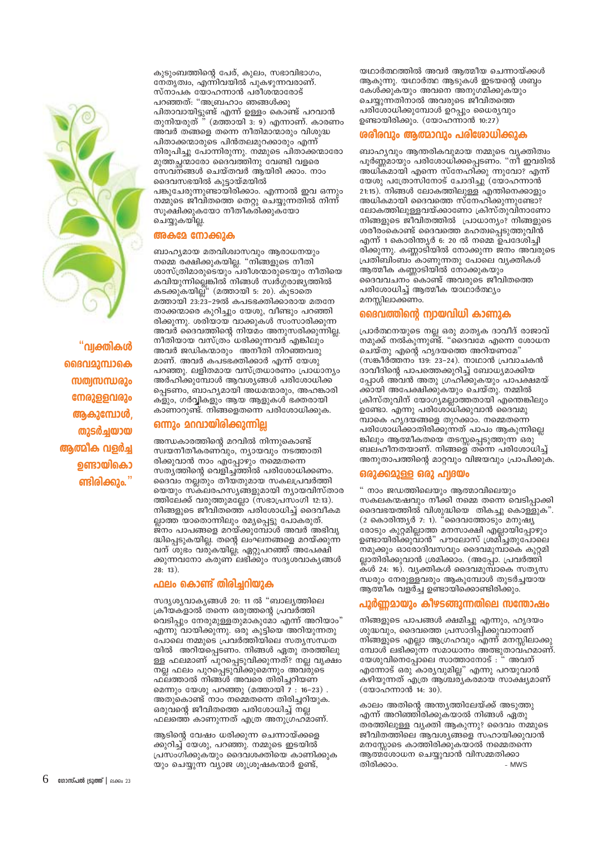

<sup>"</sup>വ്വക്തികൾ ദൈവമുമ്പാകെ സത്വസന്ധരും നേരുള്ളവരും ആകുമ്പോൾ തുടർച്ചയായ ആത്മിക വളർച്ച ഉണ്ടായികൊ ണ്ടിരിക്കും."

കുടുംബത്തിന്റെ പേര്, കുലം, സഭാവിഭാഗം, നേതൃത്വം, എന്നിവയിൽ പുകഴുന്നവരാണ്. സ്നാപക യോഹന്നാൻ പരീശന്മാരോട് പറഞ്ഞത്: "അബ്രഹാം ഞങ്ങൾക്കു പിതാവായിട്ടുണ്ട് എന്ന് ഉള്ളം കൊണ്ട് പറവാൻ തുനിയരുത് " (മത്തായി 3: 9) എന്നാണ്. കാരണം അവർ തങ്ങളെ തന്നെ നീതിമാന്മാരും വിശുദ്ധ പിതാക്കന്മാരുടെ പിൻതലമുറക്കാരും എന്ന് നിരുപിച്ചു പോന്നിരുന്നു. നമ്മുടെ പിതാക്കന്മാരോ മുത്തച്ഛാരോ ദൈവത്തിനു വേണ്ടി വളരെ സേവനങ്ങൾ ചെയ്തവർ ആയിരി ക്കാം. നാം ദൈവസഭയിൽ കൂട്ടായ്മയിൽ പങ്കുചേരുന്നുണ്ടായിരിക്കാം. എന്നാൽ ഇവ ഒന്നും നമ്മുടെ ജീവിതത്തെ തെറ്റു ചെയ്യുന്നതിൽ നിന്ന് സൂക്ഷിക്കുകയോ നീതീക്രിക്കുകയോ ചെയ്യുകയില്ല.

### അകമേ നോക്കുക

ബാഹ്യമായ മതവിശ്വാസവും ആരാധനയും നമ്മെ രക്ഷിക്കുകയില്ല. "നിങ്ങളുടെ നീതി ശാസ്ത്രിമാരുടെയും പരീശന്മാരുടെയും നീതിയെ കവിയുന്നില്ലെങ്കിൽ നിങ്ങൾ സ്വർഗ്ഗരാജ്യത്തിൽ കടക്കുകയില്ല്" (മത്തായി 5: 20). കൂടാതെ മത്തായി 23:23-29ൽ കപടഭക്തിക്കാരായ മതനേ താക്കന്മാരെ കുറിച്ചും യേശു, വീണ്ടും പറഞ്ഞി രിക്കുന്നു. ശരിയായ വാക്കുകൾ സംസാരിക്കുന്ന അവർ ദൈവത്തിന്റെ നിയമം അനുസരിക്കുന്നില്ല. നീതിയായ വസ്ത്രം ധരിക്കുന്നവര് എങ്കിലും അവർ ജഡികന്മാരും അനീതി നിറഞ്ഞവരു മാണ്. അവർ കപടഭക്തിക്കാർ എന്ന് യേശു പറഞ്ഞു. ലളിതമായ വസ്ത്രധാരണം പ്രാധാന്യം അർഹിക്കുമ്പോൾ ആവശ്യങ്ങൾ പരിശോധിക്ക പ്പെടണം, ബാഹൃമായി അധമന്മാരും, അഹങ്കാരി കളും, ഗർവ്വികളും ആയ ആളുകൾ ഭക്തരായി കാണാറുണ്ട്. നിങ്ങളെതന്നെ പരിശോധിക്കുക.

### ഒന്നും മറവായിരിക്കുന്നില്ല

അന്ധകാരത്തിന്റെ മറവിൽ നിന്നുകൊണ്ട് സ്വയനീതീകരണവും, നൃായവും നടത്താതി രിക്കുവാൻ നാം എപ്പോഴും നമ്മെതന്നെ സത്യത്തിന്റെ വെളിച്ച്ത്തിൽ പരിശോധിക്കണം. ദൈവം നല്ലതും തീയതുമായ സകലപ്രവർത്തി യെയും സ്കലരഹസൃങ്ങളുമായി നൃായവിസ്താര ത്തിലേക്ക് വരുത്തുമല്ലോ (സഭാപ്രസംഗി 12:13). നിങ്ങളുടെ ജീവിതത്തെ പരിശോധിച്ച് ദൈവീകമ ല്ലാത്ത യാതൊന്നിലും രമ്യപ്പെട്ടു പോകരുത്. ജ്നം പാപങ്ങളെ മറയ്ക്കുമ്പോൾ അവർ അഭിവൃ ദ്ധിപ്പെടുകയില്ല. തന്റെ ലംഘനങ്ങളെ മറയ്ക്കുന്ന വന് ശുഭം വരു്കയില്ല്, ഏറ്റുപറഞ്ഞ് അപേക്ഷി ക്കുന്നവനോ കരുണ് ലഭിക്കും സദൃശവാകൃങ്ങൾ  $28:13$ ).

### ഫലം കൊണ്ട് തിരിച്ചറിയുക

സദൃശ്യവാകൃങ്ങൾ 20: 11 ൽ "ബാല്യത്തിലെ ക്രീയകളാൽ തന്നെ ഒരുത്തന്റെ പ്രവർത്തി വെടിപ്പും നേരുമുള്ളതുമാകുമോ എന്ന് അറിയാം" എന്നു വായിക്കുന്നു. ഒരു കുട്ടിയെ അറിയുന്നതു പോലെ നമ്മുടെ പ്രവർത്തിയിലെ സത്യസന്ധത യിൽ അറിയപ്പെടണം. നിങ്ങൾ ഏതു തരത്തിലു ള്ള ഫലമാണ് പുറപ്പെടുവിക്കുന്നത്? നല്ല വൃക്ഷം നല്ല ഫലം പുറപ്പെടുവിക്കുമെന്നും അവ്മുടെ ഫ്ലത്താൽ നിങ്ങ്ൾ് അവരെ തിരിച്ചറിയണ മെന്നും യേശു പറഞ്ഞു (മത്തായി  $\overline{7}$  : 16-23). അതുകൊണ്ട് നാം നമ്മെതന്നെ തിരിച്ചറിയുക. ഒരുവന്റെ ജീവിതത്തെ പരിശോധിച്ച് നല്ല ഫലത്തെ കാണുന്നത് എത്ര അനുഗ്രഹമാണ്.

ആടിന്റെ വേഷം ധരിക്കുന്ന ചെന്നായ്ക്കളെ ക്കുറിച്ച് യേശു, പറഞ്ഞു. നമ്മുടെ ഇടയിൽ പ്രസംഗിക്കുകയും ദൈവശക്തിയെ കാണിക്കുക യും ചെയ്യുന്ന വ്യാജ ശുശ്രൂഷകന്മാർ ഉണ്ട്,

യഥാർത്ഥത്തിൽ അവർ ആത്മീയ ചെന്നായ്ക്കൾ ആകുന്നു. യഥാർത്ഥ ആടുകൾ ഇടയന്റെ ശബ്ബം കേശ്ക്കുകയും അവനെ അനുഗമിക്കുകയും ചെയ്യുന്നതിനാൽ അവരുടെ ജീവിതത്തെ പരിശോധിക്കുമ്പോൾ ഉറപ്പും ധൈര്യവും ഉണ്ടായിരിക്കും. (യോഹന്നാൻ 10:27)

### ശരീരവും ആത്മാവും പരിശോധിക്കുക

ബാഹ്യവും ആന്തരികവുമായ നമ്മുടെ വ്യക്തിത്വം പൂർണ്ണമായും പരിശോധിക്കപെടണം. "നീ ഇവരിൽ അധികമായി എന്നെ സ്നേഹിക്കു ന്നുവോ? എന്ന് യേശു പത്രോസിനോട് ചോദിച്ചു (യോഹന്നാൻ 21:15). നിങ്ങൾ ലോകത്തിലുള്ള എന്തിനെക്കാളും അധികമായി ദൈവത്തെ സ്നേഹിക്കുന്നുണ്ടോ? ലോകത്തിലുള്ളവയ്ക്കാണോ ക്രിസ്തുവിനാണോ നിങ്ങളുടെ ജീവിതത്തിൽ പ്രാധാന്യം? നിങ്ങളുടെ ശരീരംകൊണ്ട് ദൈവത്തെ മഹത്വപ്പെടുത്തുവിൻ എന്ന് 1 കൊരിന്ത്യർ 6: 20 ൽ നമ്മെ ഉപദേശിച്ചി രിക്കുന്നു. കണ്ണാടിയിൽ നോക്കുന്ന ജനം അവരുടെ പ്രതിബിംബം കാണുന്നതു പോലെ വൃക്തികൾ ആത്മീക കണ്ണാടിയിൽ നോക്കുകയും ദൈവവചനം ്കൊണ്ട് അവരുടെ ജീവിതത്തെ പരിശോധിച്ച് ആത്മീക യാഥാർത്ഥ്യം മനസ്സിലാക്കണം.

## ദൈവത്തിന്റെ ന്വായവിധി കാണുക

പ്രാർത്ഥനയുടെ നല്ല ഒരു മാതൃക ദാവീദ് രാജാവ് .<br>നമുക്ക് നൽകുന്നുണ്ട്. "ദൈവമേ എന്നെ ശോധന ചെയ്തു എന്റെ ഹൃദയത്തെ അറിയണമേ" (സങ്കീർത്തനം 139: 23-24). നാഥാൻ പ്രവാചകൻ ദാവീദിന്റെ പാപത്തെക്കുറിച്ച് ബോധ്യമാക്കിയ പ്പോൾ അവൻ അതു ഗ്രഹിക്കുകയും പാപക്ഷമയ് ക്കായി അപേക്ഷിക്കുകയും ചെയ്തു. നമ്മിൽ ക്രിസ്തുവിന് യോഗ്യമല്ലാത്തതായി എന്തെങ്കിലും ഉണ്ടോ. എന്നു പരിശോധിക്കുവാൻ ദൈവമു മ്പാകെ ഹൃദയങ്ങളെ തുറക്കാം. നമ്മെതന്നെ പരിശോധിക്കാതിരിക്കുന്നത് പാപം ആകുന്നില്ലെ ങ്കിലും ആത്മീകതയെ തടസ്സപ്പെടുത്തുന്ന ഒരു ബലഹീനതയാണ്. നിങ്ങളെ തന്നെ പരിശോധിച്ച് അനുതാപത്തിന്റെ മാറ്റവും വിജയവും പ്രാപിക്കുക.

### ഒരുക്കമുള്ള ഒരു ഹ്വദയം

" നാം ജഡത്തിലെയും ആത്മാവിലെയും സകലകന്മഷവും നീക്കി നമ്മെ തന്നെ വെടിപ്പാക്കി ദൈവഭയത്തിൽ വിശുദ്ധിയെ തികച്ചു കൊള്ളുക".<br>(2 കൊരിന്ത്യർ 7: 1). "ദൈവത്തോടും മനുഷ്യ രോടും കുറ്റമില്ലാത്ത മനസാക്ഷി എല്ലായിപ്പോഴും ഉണ്ടായിരിക്കുവാൻ" പൗലോസ് ശ്രമി്ച്ചതുപോലെ നമുക്കും ഓരോദിവസവും ദൈവമുമ്പാകെ കുറ്റമി ല്ലാതിരിക്കുവാൻ ശ്രമിക്കാം. (അപ്പോ. പ്രവർത്തി കൾ 24: 16). വ്യക്തികൾ ദൈവമുമ്പാകെ സത്യസ ന്ധരും നേരുള്ളവരും ആകുമ്പോൾ തുടർച്ചയായ ആത്മീക വളർച്ച ഉണ്ടായിക്കൊണ്ടിരിക്കും.

### പൂർണ്ണമായും കീഴടങ്ങുന്നതിലെ സന്തോഷം

നിങ്ങളുടെ പാപങ്ങൾ ക്ഷമിച്ചു എന്നും, ഹൃദയം ശുദ്ധവും, ദൈവത്തെ പ്രസാദിപ്പിക്കുവാനാണ് നിങ്ങളുടെ എല്ലാ ആഗ്രഹവും എന്ന് മനസ്സിലാക്കു മ്പോൾ ലഭിക്കു്ന്ന സമാധാനം അത്ഭുതാവ്ഹമാണ്. യേശുവിനെപ്പോലെ സാത്താനോട് : " അവന് എന്നോട് ഒരു കാര്യവുമില്ല" എന്നു പറയുവാൻ കഴിയുന്നത് എത്ര ആശ്ചര്യകര്മായ സാക്ഷ്യമാണ് (യോഹന്നാൻ 14: 30).

കാലം അതിന്റെ അന്ത്യത്തിലേയ്ക്ക് അടുത്തു എന്ന് അറിഞ്ഞിരിക്കുകയാൽ നിങ്ങൾ ഏതു തരത്തിലുള്ള വ്യക്തി ആകുന്നു? ദൈവം നമ്മുടെ ജീവിതത്തിലെ ആവശ്യങ്ങളെ സഹായിക്കുവാൻ മനസ്സോടെ കാത്തിരിക്കുകയാൽ നമ്മെതന്നെ ആത്മ്ശോധന ചെയ്യുവാൻ വിസമ്മതിക്കാ തിരിക്കാം.  $-MW.S$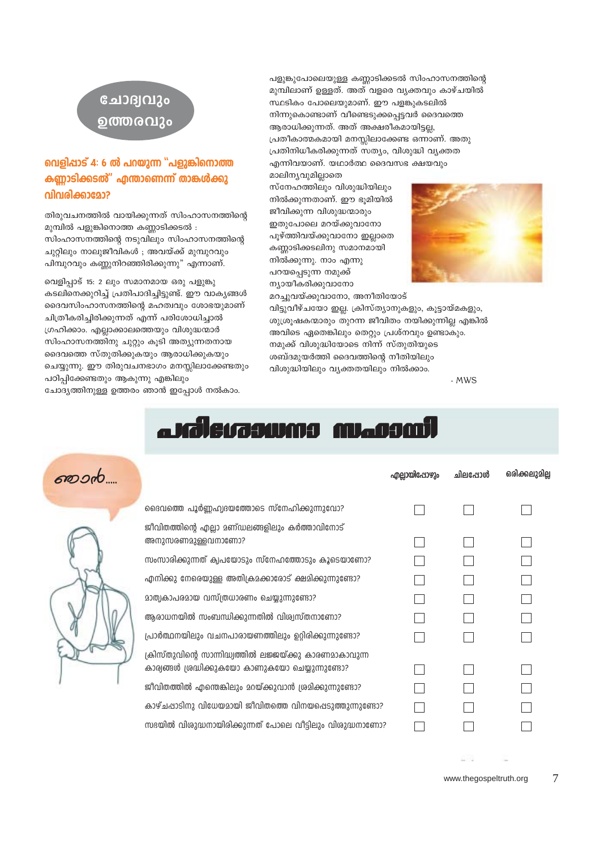| $\cdots$ |                                                                                                              | എല്ലായിഷോഴും | ചിലപ്പോൾ | ഒരിക്കലുമില്ല |
|----------|--------------------------------------------------------------------------------------------------------------|--------------|----------|---------------|
|          | ദൈവത്തെ പൂർണ്ണഹ്വദയത്തോടെ സ്നേഹിക്കുന്നുവോ?                                                                  |              |          |               |
|          | ജീവിതത്തിന്റെ എല്ലാ മണ്ഡലങ്ങളിലും കർത്താവിനോട്<br>അനുസരണമുള്ളവനാണോ?                                          |              |          |               |
|          | സംസാരിക്കുന്നത് ക്വപയോടും സ്നേഹത്തോടും കൂടെയാണോ?                                                             |              |          |               |
|          | എനിക്കു നേരെയുള്ള അതിക്രമക്കാരോട് ക്ഷമിക്കുന്നുണ്ടോ?                                                         |              |          |               |
|          | മാത്വകാപരമായ വസ്ത്രധാരണം ചെയ്യുന്നുണ്ടോ?                                                                     |              |          |               |
|          | ആരാധനയിൽ സംബന്ധിക്കുന്നതിൽ വിശ്വസ്തനാണോ?                                                                     |              |          |               |
|          | പ്രാർത്ഥനയിലും വചനപാരായണത്തിലും ഉറ്റിരിക്കുന്നുണ്ടോ?                                                         |              |          |               |
|          | ക്രിസ്തുവിന്റെ സാന്നിദ്ധ്വത്തിൽ ലജ്ജയ്ക്കു കാരണമാകാവുന്ന<br>കാര്വങ്ങൾ ശ്രദ്ധിക്കുകയോ കാണുകയോ ചെയ്യുന്നുണ്ടോ? |              |          |               |
|          | ജീവിതത്തിൽ എന്തെങ്കിലും മറയ്ക്കുവാൻ ശ്രമിക്കുന്നുണ്ടോ?                                                       |              |          |               |
|          | കാഴ്ചപ്പാടിനു വിധേയമായി ജീവിതത്തെ വിനയപ്പെടുത്തുന്നുണ്ടോ?                                                    |              |          |               |
|          | സഭയിൽ വിശുദ്ധനായിരിക്കുന്നത് പോലെ വീട്ടിലും വിശുദ്ധനാണോ?                                                     |              |          |               |
|          |                                                                                                              |              |          |               |

# a kilekaswas mansa

പഠിപ്പിക്കേണ്ടതും ആകുന്നു എങ്കിലും ചോദ്യത്തിനുള്ള ഉത്തരം ഞാൻ ഇപ്പോൾ നൽകാം.

വെളിപ്പാട് 15: 2 ലും സമാനമായ ഒരു പളുങ്കു കടലിനെക്കുറിച്ച് പ്രതിപാദിച്ചിട്ടുണ്ട്. ഈ വാകൃങ്ങൾ ദൈവസിംഹാസനത്തിന്റെ മഹത്വവും ശോഭയുമാണ് ചിത്രീകരിച്ചിരിക്കുന്നത് എന്ന് പരിശോധിച്ചാൽ ഗ്രഹിക്കാം. എല്ലാക്കാലത്തെയും വിശുദ്ധന്മാർ സിംഹാസനത്തിനു ചുറ്റും കൂടി അത്യുന്നതനായ ദൈവത്തെ സ്തുതിക്കുകയും ആരാധിക്കുകയും ചെയ്യുന്നു. ഈ തിരുവചനഭാഗം മനസ്സിലാക്കേണ്ടതും

തിരുവചനത്തിൽ വായിക്കുന്നത് സിംഹാസനത്തിന്റെ മുമ്പിൽ പളുങ്കിനൊത്ത കണ്ണാടിക്കടൽ : സിംഹാസനത്തിന്റെ നടുവിലും സിംഹാസനത്തിന്റെ ചുറ്റിലും നാലുജീവികൾ ; അവയ്ക്ക് മുമ്പുറവും പിമ്പുറവും കണ്ണുനിറഞ്ഞിരിക്കുന്നു" എന്നാണ്.

## വെളിപ്പാട് 4: 6 ൽ പറയുന്ന "പളുങ്കിനൊത്ത കണ്ണാടിക്കടൽ" എന്താണെന്ന് താങ്കൾക്കു വിവരിക്കാമോ?

## ചോദ്വവും ഉത്തരവും

മറച്ചുവയ്ക്കുവാനോ, അനീതിയോട് വിട്ടുവീഴ്ചയോ ഇല്ല. ക്രിസ്ത്യാനുകളും, കൂട്ടായ്മകളും, ശുശ്രൂഷകന്മാരും തുറന്ന ജീവിതം നയിക്കുന്നില്ല എങ്കിൽ അവിടെ ഏതെങ്കിലും തെറ്റും പ്രശ്നവും ഉണ്ടാകും. നമുക്ക് വിശുദ്ധിയോടെ നിന്ന് സ്തുതിയുടെ ശബ്ദമുയർത്തി ദൈവത്തിന്റെ നീതിയിലും വിശുദ്ധിയിലും വ്യക്തതയിലും നിൽക്കാം.

മാലിന്യവുമില്ലാതെ സ്നേഹത്തിലും വിശുദ്ധിയിലും നിൽക്കുന്നതാണ്. ഈ ഭൂമിയിൽ ജീവിക്കുന്ന വിശുദ്ധന്മാരും ഇതുപോലെ മറയ്ക്കുവാനോ പൂഴ്ത്തിവയ്ക്കുവാനോ ഇല്ലാതെ കണ്ണാടിക്കടലിനു സമാനമായി നിൽക്കുന്നു. നാം എന്നു പറയപ്പെടുന്ന നമുക്ക് ന്യായീകരിക്കുവാനോ



പളുങ്കുപോലെയുള്ള കണ്ണാടിക്കടൽ സിംഹാസനത്തിന്റെ മുമ്പിലാണ് ഉള്ളത്. അത് വളരെ വ്യക്തവും കാഴ്ചയിൽ സ്ഥടികം പോലെയുമാണ്. ഈ പളങ്കുകടലിൽ നിന്നുകൊണ്ടാണ് വീണ്ടെടുക്കപ്പെട്ടവർ ദൈവത്തെ ആരാധിക്കുന്നത്. അത് അക്ഷരീകമായിട്ടല്ല, പ്രതീകാത്മകമായി മനസ്സിലാക്കേണ്ട ഒന്നാണ്. അതു പ്രതിനിധീകരിക്കുന്നത് സത്യം, വിശുദ്ധി വ്യക്തത എന്നിവയാണ്. യഥാർത്ഥ ദൈവസഭ ക്ഷയവും

 $-MWS$